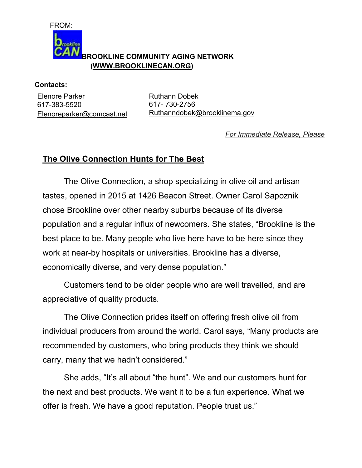

**Contacts:** 

Elenore Parker 617-383-5520 Elenoreparker@comcast.net Ruthann Dobek 617- 730-2756 Ruthanndobek@brooklinema.gov

*For Immediate Release, Please*

## **The Olive Connection Hunts for The Best**

 The Olive Connection, a shop specializing in olive oil and artisan tastes, opened in 2015 at 1426 Beacon Street. Owner Carol Sapoznik chose Brookline over other nearby suburbs because of its diverse population and a regular influx of newcomers. She states, "Brookline is the best place to be. Many people who live here have to be here since they work at near-by hospitals or universities. Brookline has a diverse, economically diverse, and very dense population."

 Customers tend to be older people who are well travelled, and are appreciative of quality products.

 The Olive Connection prides itself on offering fresh olive oil from individual producers from around the world. Carol says, "Many products are recommended by customers, who bring products they think we should carry, many that we hadn't considered."

 She adds, "It's all about "the hunt". We and our customers hunt for the next and best products. We want it to be a fun experience. What we offer is fresh. We have a good reputation. People trust us."